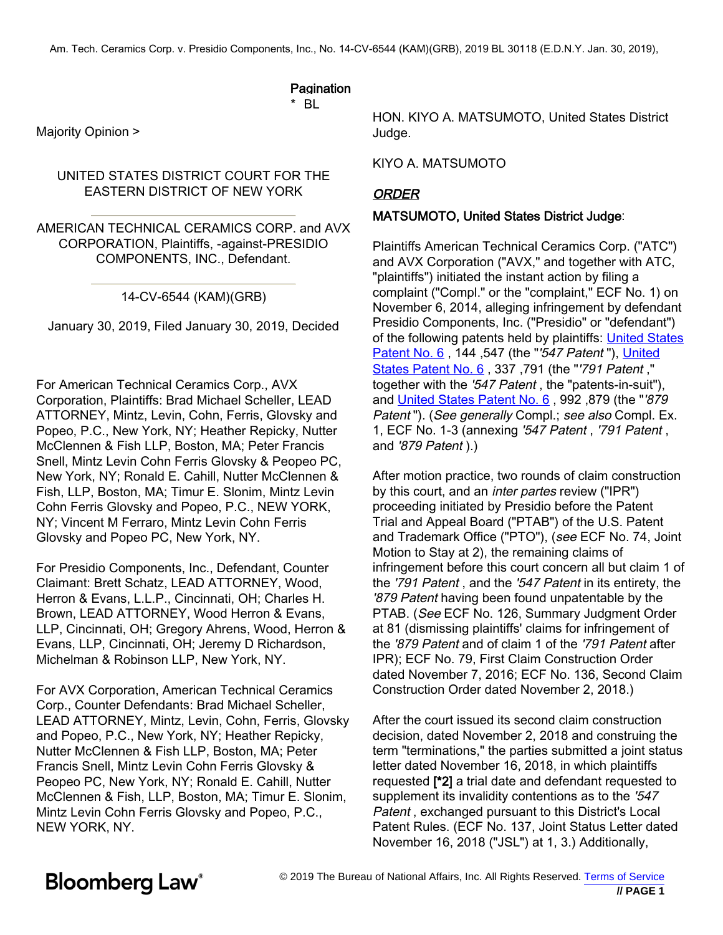### **Pagination**

\* BL

Majority Opinion >

#### UNITED STATES DISTRICT COURT FOR THE EASTERN DISTRICT OF NEW YORK

AMERICAN TECHNICAL CERAMICS CORP. and AVX CORPORATION, Plaintiffs, -against-PRESIDIO COMPONENTS, INC., Defendant.

#### 14-CV-6544 (KAM)(GRB)

January 30, 2019, Filed January 30, 2[019, Decided](https://www.bloomberglaw.com/product/blaw/document/X3P9C0100O02411F?jcsearch=usp 6&summary=yes#jcite)

For American Technical Ceramics Corp., AVX Cor[poration, Plaintiffs: Brad Mic](https://www.bloomberglaw.com/product/blaw/document/X3P9C0100O02411F?jcsearch=usp 6&summary=yes#jcite)hael Scheller, LEAD ATTORNEY, Mintz, Levin, Cohn, Ferris, Glovsky and Popeo, P.C., New York, NY; Heather Repicky, Nutter McClennen & Fish LLP, Boston, MA; Peter Francis Snell, Mintz Levin Cohn Ferris Glovsky & Peopeo PC, New York, NY; Ronald E. Cahill, Nutter McClennen & Fish, LLP, Boston, MA; Timur E. Slonim, Mintz Levin Cohn Ferris Glovsky and Popeo, P.C., NEW YORK, NY; Vincent M Ferraro, Mintz Levin Cohn Ferris Glovsky and Popeo PC, New York, NY.

For Presidio Components, Inc., Defendant, Counter Claimant: Brett Schatz, LEAD ATTORNEY, Wood, Herron & Evans, L.L.P., Cincinnati, OH; Charles H. Brown, LEAD ATTORNEY, Wood Herron & Evans, LLP, Cincinnati, OH; Gregory Ahrens, Wood, Herron & Evans, LLP, Cincinnati, OH; Jeremy D Richardson, Michelman & Robinson LLP, New York, NY.

For AVX Corporation, American Technical Ceramics Corp., Counter Defendants: Brad Michael Scheller, LEAD ATTORNEY, Mintz, Levin, Cohn, Ferris, Glovsky and Popeo, P.C., New York, NY; Heather Repicky, Nutter McClennen & Fish LLP, Boston, MA; Peter Francis Snell, Mintz Levin Cohn Ferris Glovsky & Peopeo PC, New York, NY; Ronald E. Cahill, Nutter McClennen & Fish, LLP, Boston, MA; Timur E. Slonim, Mintz Levin Cohn Ferris Glovsky and Popeo, P.C., NEW YORK, NY.

HON. KIYO A. MATSUMOTO, United States District Judge.

#### KIYO A. MATSUMOTO

### ORDER

#### MATSUMOTO, United States District Judge:

Plaintiffs American Technical Ceramics Corp. ("ATC") and AVX Corporation ("AVX," and together with ATC, "plaintiffs") initiated the instant action by filing a complaint ("Compl." or the "complaint," ECF No. 1) on November 6, 2014, alleging infringement by defendant Presidio Components, Inc. ("Presidio" or "defendant") of the following patents held by plaintiffs: United States Patent No. 6, 144, 547 (the "'547 Patent"), United States Patent No. 6 , 337 ,791 (the "'791 Patent ," together with the '547 Patent , the "patents-in-suit"), and United States Patent No. 6 , 992 ,879 (the "'879 Patent"). (See generally Compl.; see also Compl. Ex. 1, ECF No. 1-3 (annexing '547 Patent , '791 Patent , and '879 Patent ).)

After motion practice, two rounds of claim construction by this court, and an *inter partes* review ("IPR") proceeding initiated by Presidio before the Patent Trial and Appeal Board ("PTAB") of the U.S. Patent and Trademark Office ("PTO"), (see ECF No. 74, Joint Motion to Stay at 2), the remaining claims of infringement before this court concern all but claim 1 of the '791 Patent , and the '547 Patent in its entirety, the '879 Patent having been found unpatentable by the PTAB. (See ECF No. 126, Summary Judgment Order at 81 (dismissing plaintiffs' claims for infringement of the '879 Patent and of claim 1 of the '791 Patent after IPR); ECF No. 79, First Claim Construction Order dated November 7, 2016; ECF No. 136, Second Claim Construction Order dated November 2, 2018.)

After the court issued its second claim construction decision, dated November 2, 2018 and construing the term "terminations," the parties submitted a joint status letter dated November 16, 2018, in which plaintiffs requested [\*2] a trial date and defendant requested to supplement its invalidity contentions as to the '547 Patent , exchanged pursuant to this District's Local Patent Rules. (ECF No. 137, Joint Status Letter dated November 16, 2018 ("JSL") at 1, 3.) Additionally,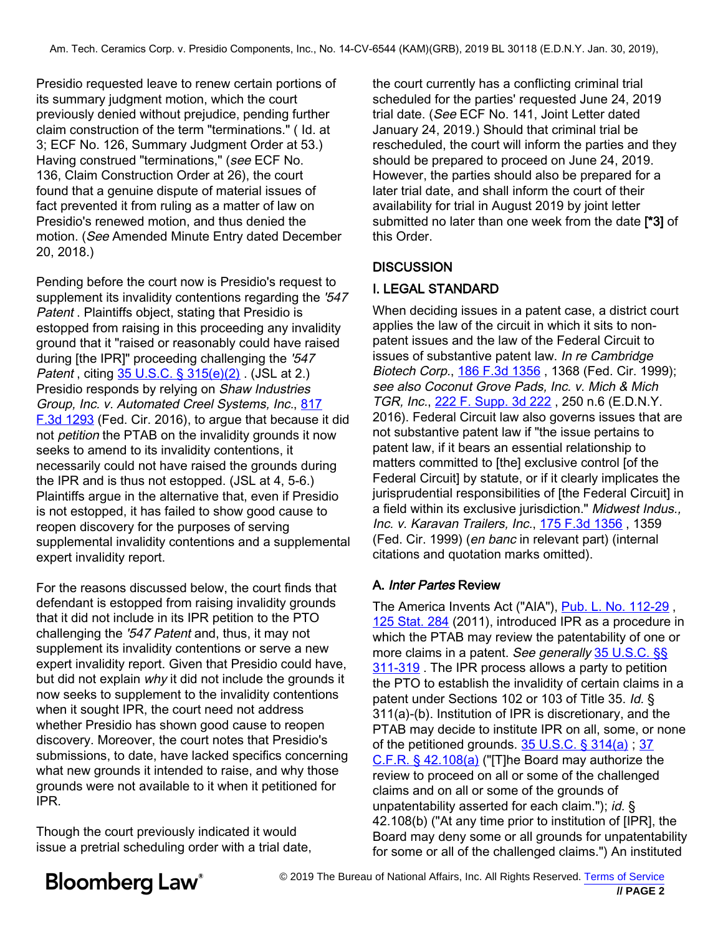Presidio requested leave to renew certain portions of its summary judgment motion, which the court previously denied without prejudice, pending further claim construction of the term "terminations." ( Id. at 3; ECF No. 126, Summary Judgment Order at 53.) Having construed "terminations," (see ECF No. 136, Claim Construction Order at 26), the court found that a genuine dispute of material issues of fact prevented it from ruling as a matter of law on Presidio's renewed motion, and thus denied the motion. (See Amended Minute Entry dated December 20, 2018.)

Pending before the court now is Presidio's request to supplement its invalidity contentions regarding the '547 Patent . Plaintiffs object, stating that Presidio is estopped from raising in this proceeding any invalidity ground that it "raised or reasonably could have raised during [the IPR]" proceeding challenging the '547 Patent, citing [35 U.S.C. § 315\(e\)\(2\)](https://www.bloomberglaw.com/product/blaw/document/XO7BVU003?jcsearch=35 U.S.C. %26sect; 315(e)(2)&summary=yes#jcite). (JSL at 2.) Presidio responds by relying on Shaw Industries Group, Inc. [v](https://www.bloomberglaw.com/product/blaw/document/XUNL96HG000N?jcsearch=222 F. Supp. 3d 222&summary=yes#jcite). [Automated](https://www.bloomberglaw.com/product/blaw/document/XUNL96HG000N?jcsearch=222 F. Supp. 3d 222&summary=yes#jcite) [Creel](https://www.bloomberglaw.com/product/blaw/document/XUNL96HG000N?jcsearch=222 F. Supp. 3d 222&summary=yes#jcite) Systems, Inc., [817](https://www.bloomberglaw.com/product/blaw/document/XK2SSFOG000N?jcsearch=817 F.3d 1293&summary=yes#jcite) [F.3d 1293](https://www.bloomberglaw.com/product/blaw/document/XK2SSFOG000N?jcsearch=817 F.3d 1293&summary=yes#jcite) (Fed. Cir. 2016), to argue that because it did not *petition* the PTAB on the invalidity grounds it now seeks to amend to its invalidity contentions, it necessarily could not have raised the grounds during the IPR and is thus not estopped. (JSL at 4, 5-6.) Plaintiffs argue in the alternative that, even if Presidio is not estopped, it has failed to show good cause to reopen discovery for the pur[poses of serving](https://www.bloomberglaw.com/product/blaw/document/X36I48?jcsearch=175 F.3d 1356&summary=yes#jcite) supplemental invalidity contentions and a supplemental expert invalidity report.

For the reasons discussed below, the court finds that defendant is estopped from raisi[ng invalidity grounds](https://www.bloomberglaw.com/product/blaw/document/X3G00EG008D?jcsearch=Pub. L. No. 112-29&summary=yes#jcite) [that it did not](https://www.bloomberglaw.com/product/blaw/document/X3G00EG008D?jcsearch=125 Stat. 284&summary=yes#jcite) include in its IPR petition to the PTO challenging the '547 Patent and, thus, it may not supplement its invalidity contentions or [serve a new](https://www.bloomberglaw.com/product/blaw/document/XO7BVM003?jcsearch=35 U.S.C. %26sect;%26sect; 311-319&summary=yes#jcite) [expert in](https://www.bloomberglaw.com/product/blaw/document/XO7BVM003?jcsearch=35 U.S.C. %26sect;%26sect; 311-319&summary=yes#jcite)validity report. Given that Presidio could have, but did not explain why it did not include the grounds it now seeks to supplement to the invalidity contentions when it sought IPR, the court need not address whether Presidio has shown good cause to reopen discovery. Moreover, the [court notes that Pre](https://www.bloomberglaw.com/product/blaw/document/XO7BVS003?jcsearch=35 U.S.C. %26sect; 314(a)&summary=yes#jcite)si[dio](https://www.bloomberglaw.com/product/blaw/document/X2HRTV18?jcsearch=37 C.F.R. %26sect; 42.108(a)&summary=yes#jcite)'s [submissions, to da](https://www.bloomberglaw.com/product/blaw/document/X2HRTV18?jcsearch=37 C.F.R. %26sect; 42.108(a)&summary=yes#jcite)te, have lacked specifics concerning what new grounds it intended to raise, and why those grounds were not available to it when it petitioned for IPR.

Though the court previously indicated it would issue a pretrial scheduling order with a trial date,

the court currently has a conflicting criminal trial scheduled for the parties' requested June 24, 2019 trial date. (See ECF No. 141, Joint Letter dated January 24, 2019.) Should that criminal trial be rescheduled, the court will inform the parties and they should be prepared to proceed on June 24, 2019. However, the parties should also be prepared for a later trial date, and shall inform the court of their availability for trial in August 2019 by joint letter submitted no later than one week from the date [\*3] of this Order.

### **DISCUSSION**

### I. LEGAL STANDARD

When deciding issues in a patent case, a district court applies the law of the circuit in which it sits to nonpatent issues and the law of the Federal Circuit to issues of substantive patent law. In re Cambridge Biotech Corp., 186 F.3d 1356 , 1368 (Fed. Cir. 1999); see also Coconut Grove Pads, Inc. v. Mich & Mich TGR, Inc., 222 F. Supp. 3d 222 , 250 n.6 (E.D.N.Y. 2016). Federal Circuit law also governs issues that are not substantive patent law if "the issue pertains to patent law, if it bears an essential relationship to matters committed to [the] exclusive control [of the Federal Circuit] by statute, or if it clearly implicates the jurisprudential responsibilities of [the Federal Circuit] in a field within its exclusive jurisdiction." Midwest Indus., Inc. v. Karavan Trailers, Inc., 175 F.3d 1356, 1359 (Fed. Cir. 1999) (en banc in relevant part) (internal citations and quotation marks omitted).

### A. Inter Partes Review

The America Invents Act ("AIA"), Pub. L. No. 112-29 , 125 Stat. 284 (2011), introduced IPR as a procedure in which the PTAB may review the patentability of one or more claims in a patent. See generally 35 U.S.C. §§ 311-319. The IPR process allows a party to petition the PTO to establish the invalidity of certain claims in a patent under Sections 102 or 103 of Title 35. Id. § 311(a)-(b). Institution of IPR is discretionary, and the PTAB may decide to institute IPR on all, some, or none of the petitioned grounds.  $35 \text{ U.S.C.}$  §  $314(a)$  ; 37 C.F.R. § 42.108(a) ("[T]he Board may authorize the review to proceed on all or some of the challenged claims and on all or some of the grounds of unpatentability asserted for each claim."); id. § 42.108(b) ("At any time prior to institution of [IPR], the Board may deny some or all grounds for unpatentability for some or all of the challenged claims.") An instituted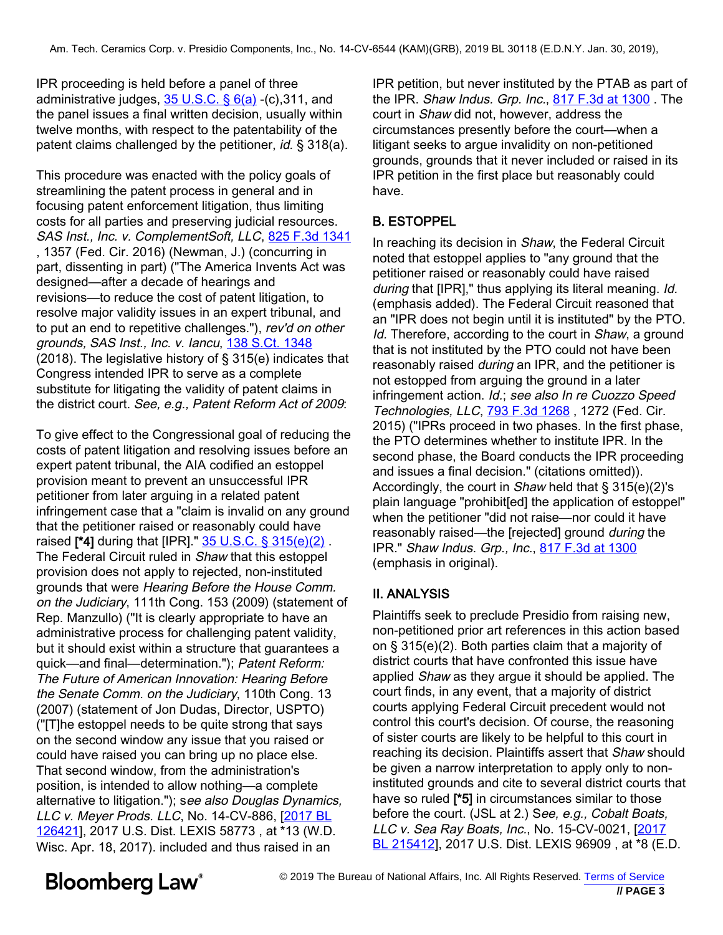IPR proceeding is held before a panel of three administrative judges,  $35 \text{ U.S.C.}$  §  $6(a)$  -(c), 311, and the panel issues a final written decision, usually within twelve months, with respect to the patentability of the patent claims challenged by the petitioner, *id.* § 318(a).

This procedure was enacted with the policy goals of streamlining the patent process in general and in focusing patent enforcement litigation, thus limiting costs for all parties and preserving judicial resources. SAS Inst., Inc. v. ComplementSoft, LLC, [825 F.3d 1341](https://www.bloomberglaw.com/product/blaw/document/X1RGKJKO0000N?jcsearch=825 F.3d 1341&summary=yes#jcite) , 1357 (Fed. Cir. 2016) (Newman, J.) (concurring in part, dissenting in part) ("The America Invents Act was designed—after a decade of hearings and revisions—to reduce the cost of patent litigation, to resolve major validity issues in an expert tribunal, and to put an end to repetitive challenges."), rev'd on other grounds, SAS Inst., Inc. v. Iancu, [138 S.Ct. 1348](https://www.bloomberglaw.com/product/blaw/document/1?citation=138 S.Ct. 1348&summary=yes#jcite) (2018). The legislative history of § 315(e) indicates that Congress intended IPR to serve as a complete substitute for litigating the validity of patent claims in the district court. S[ee, e.g., Patent](https://www.bloomberglaw.com/product/blaw/document/XVHUGU9G000N?jcsearch=793 F.3d 1268&summary=yes#jcite) Reform Act of 2009:

To give effect to the Congressional goal of reducing the costs of patent litigation and resolving issues before an expert patent tribunal, the AIA codified an estoppel provision meant to prevent an unsuccessful IPR petitioner from later arguing in a related patent infringement case that a "claim is invalid on any ground that the petitioner raised or reasonably could have raised [\*4] during that [IPR]." [35 U.S.C. § 315\(e\)\(2\)](https://www.bloomberglaw.com/product/blaw/document/XO7BVU003?jcsearch=35 U.S.C. %26sect; 315(e)(2)&summary=yes#jcite). The Federal Circuit ruled in Shaw that this estoppel provision does not apply to rejected, non-instituted grounds that were Hearing Before the House Comm. on the Judiciary, 111th Cong. 153 (2009) (statement of Rep. Manzullo) ("It is clearly appropriate to have an administrative process for challenging patent validity, but it should exist within a structure that guarantees a quick—and final—determination."); Patent Reform: The Future of American Innovation: Hearing Before the Senate Comm. on the Judiciary, 110th Cong. 13 (2007) (statement of Jon Dudas, Director, USPTO) ("[T]he estoppel needs to be quite strong that says on the second window any issue that you raised or could have raised you can bring up no place else. That second window, from the administration's position, is intended to allow nothing—a complete alternative to litigation."); see also Douglas Dynamics, LLC v. Meyer Prods. LLC, No. 14-CV-886, [\[2017 BL](https://www.bloomberglaw.com/product/blaw/document/XG7VMMEG000N?jcsearch=2017 BL 126421&summary=yes#jcite) [126421](https://www.bloomberglaw.com/product/blaw/document/XG7VMMEG000N?jcsearch=2017 BL 126421&summary=yes#jcite)], 2017 U.S. Dist. LEXIS 58773 , at \*13 [\(W.D](https://www.bloomberglaw.com/product/blaw/document/X1HGI4IHG000N?jcsearch=2017 BL 215412&summary=yes#jcite). [Wisc. Apr.](https://www.bloomberglaw.com/product/blaw/document/X1HGI4IHG000N?jcsearch=2017 BL 215412&summary=yes#jcite) 18, 2017). included and thus raised in an

IPR petition, but never instituted by the PTAB as part of the IPR. Shaw Indus. Grp. Inc., 817 F.3d at 1300 . The court in Shaw did not, however, address the circumstances presently before the court—when a litigant seeks to argue invalidity on non-petitioned grounds, grounds that it never included or raised in its IPR petition in the first place but reasonably could have.

### B. ESTOPPEL

In reaching its decision in Shaw, the Federal Circuit noted that estoppel applies to "any ground that the petitioner raised or reasonably could have raised during that [IPR]," thus applying its literal meaning. Id. (emphasis added). The Federal Circuit reasoned that an "IPR does not begin until it is instituted" by the PTO. Id. Therefore, according to the court in Shaw, a ground that is not instituted by the PTO could not have been reasonably raised *during* an IPR, and the petitioner is not estopped from arguing the ground in a later infringement action. Id.; see also In re Cuozzo Speed Technologies, LLC, 793 F.3d 1268, 1272 (Fed. Cir. 2015) ("IPRs proceed in two phases. In the first phase, the PTO determines whether to institute IPR. In the second phase, the Board conducts the IPR proceeding and issues a final decision." (citations omitted)). Accordingly, the court in Shaw held that § 315(e)(2)'s plain language "prohibit[ed] the application of estoppel" when the petitioner "did not raise—nor could it have reasonably raised—the [rejected] ground during the IPR." Shaw Indus. Grp., Inc., 817 F.3d at 1300 (emphasis in original).

### II. ANALYSIS

Plaintiffs seek to preclude Presidio from raising new, non-petitioned prior art references in this action based on § 315(e)(2). Both parties claim that a majority of district courts that have confronted this issue have applied Shaw as they argue it should be applied. The court finds, in any event, that a majority of district courts applying Federal Circuit precedent would not control this court's decision. Of course, the reasoning of sister courts are likely to be helpful to this court in reaching its decision. Plaintiffs assert that Shaw should be given a narrow interpretation to apply only to noninstituted grounds and cite to several district courts that have so ruled [\*5] in circumstances similar to those before the court. (JSL at 2.) See, e.g., Cobalt Boats, LLC v. Sea Ray Boats, Inc., No. 15-CV-0021, [2017 BL 215412], 2017 U.S. Dist. LEXIS 96909, at \*8 (E.D.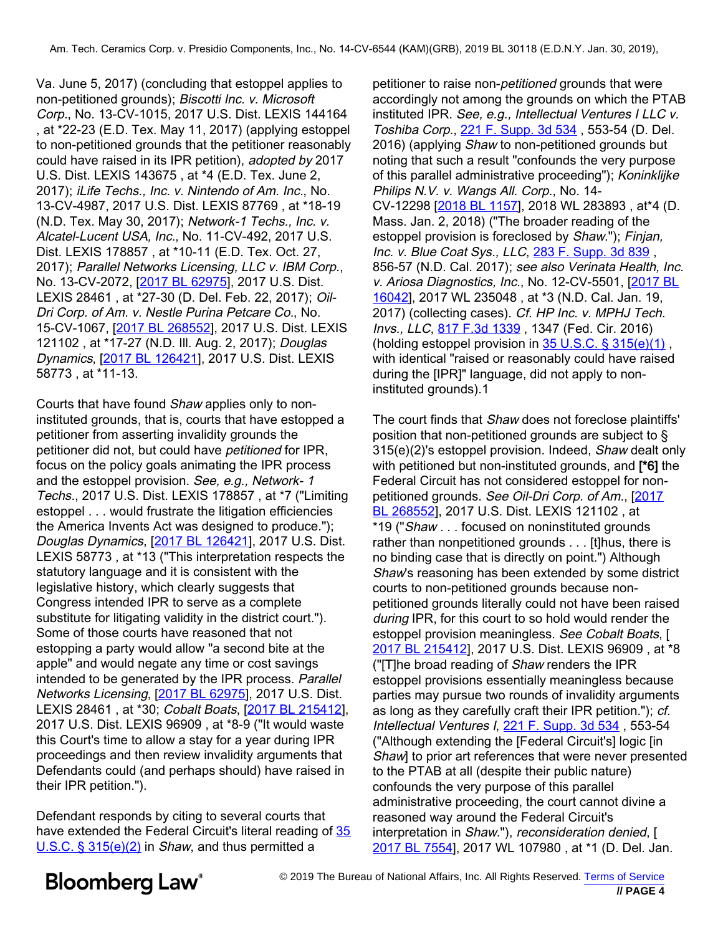Va. June 5, 2017) (concluding that estoppel applies to non-petitioned grounds); Biscotti Inc. v. Microsoft Corp., No. 13-CV-1015, 2017 U.S. Dist. LEXIS 144164 , at \*22-23 (E.[D. Tex. May 11, 2017\)](https://www.bloomberglaw.com/product/blaw/document/XGKSV6J0000N?jcsearch=221 F. Supp. 3d 534&summary=yes#jcite) (applying estoppel to non-petitioned grounds that the petitioner reasonably could have raised in its IPR petition), adopted by 2017 U.S. Dist. LEXIS 143675 , at \*4 (E.D. Tex. June 2, 2017); iLife Techs., Inc. v. Nintendo of Am. Inc., No. 13-CV-498[7, 2017 U.S. D](https://www.bloomberglaw.com/product/blaw/document/XT047EJG000N?jcsearch=2018 BL 1157&summary=yes#jcite)ist. LEXIS 87769 , at \*18-19 (N.D. Tex. May 30, 2017); Network-1 Techs., Inc. v. Alcatel-Lucent USA, Inc., No. 11-CV-492, 2017 U.S. Dist. LEXIS 178857 , at \*10[-11 \(E.D. Tex. Oct. 27](https://www.bloomberglaw.com/product/blaw/document/XJS9S5G000N?jcsearch=283 F. Supp. 3d 839&summary=yes#jcite), 2017); *Parallel Networks Licensing, LLC v. IBM Corp.*,<br>No. 13-CV-2072, <u>[\[2017 BL 62975](https://www.bloomberglaw.com/product/blaw/document/X1QB0E4VG000N?jcsearch=2017 BL 62975&summary=yes#jcite)</u>], 2017 U.S[. Dist.](https://www.bloomberglaw.com/product/blaw/document/X1MB5SBC0000N?jcsearch=2017 BL 16042&summary=yes#jcite) [LEXIS](https://www.bloomberglaw.com/product/blaw/document/X1MB5SBC0000N?jcsearch=2017 BL 16042&summary=yes#jcite) 28461 , at \*27-30 (D. Del. Feb. 22, 2017); Oil-Dri Corp. of Am. v. Nestle Purina Petcare Co., No. 15-CV-106[7, \[2017 BL 26](https://www.bloomberglaw.com/product/blaw/document/XIR53H7G000N?jcsearch=817 F.3d 1339&summary=yes#jcite)[8552](https://www.bloomberglaw.com/product/blaw/document/X13IM4MM0000N?jcsearch=2017 BL 268552&summary=yes#jcite)], 2017 U.S. Dist. LEXIS 121102 , at \*17-27 (N.D. Ill. A[ug. 2, 2017\);](https://www.bloomberglaw.com/product/blaw/document/XO7BVU003?jcsearch=35 U.S.C. %26sect; 315(e)(1)&summary=yes#jcite) Douglas Dynamics, [\[2017 BL 126421](https://www.bloomberglaw.com/product/blaw/document/XG7VMMEG000N?jcsearch=2017 BL 126421&summary=yes#jcite)], 2017 U.S. Dist. LEXIS 58773 , at \*11-13.

Courts that have found Shaw applies only to noninstituted grounds, that is, courts that have estopped a petitioner from asserting invalidity grounds the petitioner did not, but could have petitioned for IPR, focus on the policy goals animating the IPR process and the estoppel provision. See, e.g., Network- <sup>1</sup> Techs., 2017 U.S. Dist. LEXIS 178857 , at \*7 [\("Limi](https://www.bloomberglaw.com/product/blaw/document/X13IM4MM0000N?jcsearch=2017 BL 268552&summary=yes#jcite)ting [estoppel . .](https://www.bloomberglaw.com/product/blaw/document/X13IM4MM0000N?jcsearch=2017 BL 268552&summary=yes#jcite) . would frustrate the litigation efficiencies the America Invents Act was designed to produce."); Douglas Dynamics, [\[2017 BL 126421](https://www.bloomberglaw.com/product/blaw/document/XG7VMMEG000N?jcsearch=2017 BL 126421&summary=yes#jcite)], 2017 U.S. Dist. LEXIS 58773 , at \*13 ("This interpretation respects the statutory language and it is consistent with the legislative history, which clearly suggests that Congress intended IPR to serve as a complete substitute for litigating validity in the district court."). Some of those courts have reasoned that not [estopping a party](https://www.bloomberglaw.com/product/blaw/document/X1HGI4IHG000N?jcsearch=2017 BL 215412&summary=yes#jcite) would allow "a second bite at the apple" and would negate any time or cost savings intended to be generated by the IPR process. Parallel Networks Licensing, [\[2017 BL 62975](https://www.bloomberglaw.com/product/blaw/document/X1QB0E4VG000N?jcsearch=2017 BL 62975&summary=yes#jcite)], 2017 U.S. Dist. LEXIS 28461 , at \*30; Cobalt Boats, [\[2017 BL 215412](https://www.bloomberglaw.com/product/blaw/document/X1HGI4IHG000N?jcsearch=2017 BL 215412&summary=yes#jcite)], 2017 U.S. Dist. LEXIS [96909 , at \\*8-9 \("It w](https://www.bloomberglaw.com/product/blaw/document/XGKSV6J0000N?jcsearch=221 F. Supp. 3d 534&summary=yes#jcite)ould waste this Court's time to allow a stay for a year during IPR proceedings and then review invalidity arguments that Defendants could (and perhaps should) have raised in their IPR petition.").

Defendant responds by citing to several courts that have extended the Federal Circuit's literal reading of [35](https://www.bloomberglaw.com/product/blaw/document/XO7BVU003?jcsearch=35 U.S.C. %26sect; 315(e)(2)&summary=yes#jcite) [U.S.C. § 315\(e\)\(2\)](https://www.bloomberglaw.com/product/blaw/document/XO7BVU003?jcsearch=35 U.S.C. %26sect; 315(e)(2)&summary=yes#jcite) in Shaw, and thus permitted a

petitioner to raise non-petitioned grounds that were accordingly not among the grounds on which the PTAB instituted IPR. See, e.g., Intellectual Ventures I LLC v. Toshiba Corp., 221 F. Supp. 3d 534 , 553-54 (D. Del. 2016) (applying Shaw to non-petitioned grounds but noting that such a result "confounds the very purpose of this parallel administrative proceeding"); Koninklijke Philips N.V. v. Wangs All. Corp., No. 14- CV-12298 [2018 BL 1157], 2018 WL 283893, at\*4 (D. Mass. Jan. 2, 2018) ("The broader reading of the estoppel provision is foreclosed by Shaw."); Finjan, Inc. v. Blue Coat Sys., LLC, 283 F. Supp. 3d 839, Jonc. 2017); see also Verinata Health, Inc. v. Ariosa Diagnostics, Inc., No. 12-CV-5501, [2017 BL 16042], 2017 WL 235048 , at \*3 (N.D. Cal. Jan. 19, 2017) (collecting cases). Cf. HP Inc. v. MPHJ Tech. Invs., LLC, 817 F.3d 1339 , 1347 (Fed. Cir. 2016) (holding estoppel provision in  $35$  U.S.C. §  $315(e)(1)$ , with identical "raised or reasonably could have raised during the [IPR]" language, did not apply to noninstituted grounds).1

The court finds that Shaw does not foreclose plaintiffs' position that non-petitioned grounds are subject to § 315(e)(2)'s estoppel provision. Indeed, Shaw dealt only with petitioned but non-instituted grounds, and <sup>[\*6]</sup> the Federal Circuit has not considered estoppel for nonpetitioned grounds. See Oil-Dri Corp. of Am., [2017] BL 268552], 2017 U.S. Dist. LEXIS 121102, at \*19 ("Shaw . . . focused on noninstituted grounds rather than nonpetitioned grounds . . . [t]hus, there is no binding case that is directly on point.") Although Shaw's reasoning has been extended by some district courts to non-petitioned grounds because nonpetitioned grounds literally could not have been raised during IPR, for this court to so hold would render the estoppel provision meaningless. See Cobalt Boats, [ 2017 BL 215412], 2017 U.S. Dist. LEXIS 96909, at \*8 ("[T]he broad reading of Shaw renders the IPR estoppel provisions essentially meaningless because parties may pursue two rounds of invalidity arguments as long as they carefully craft their IPR petition."); cf. Intellectual Ventures I, 221 F. Supp. 3d 534, 553-54 ("Although extending the [Federal Circuit's] logic [in Shaw] to prior art references that were never presented to the PTAB at all (despite their public nature) confounds the very purpose of this parallel administrative proceeding, the court cannot divine a reasoned way around the Federal Circuit's interpretation in Shaw."), reconsideration denied, [ 2017 BL 7554], 2017 WL 107980, at \*1 (D. Del. Jan.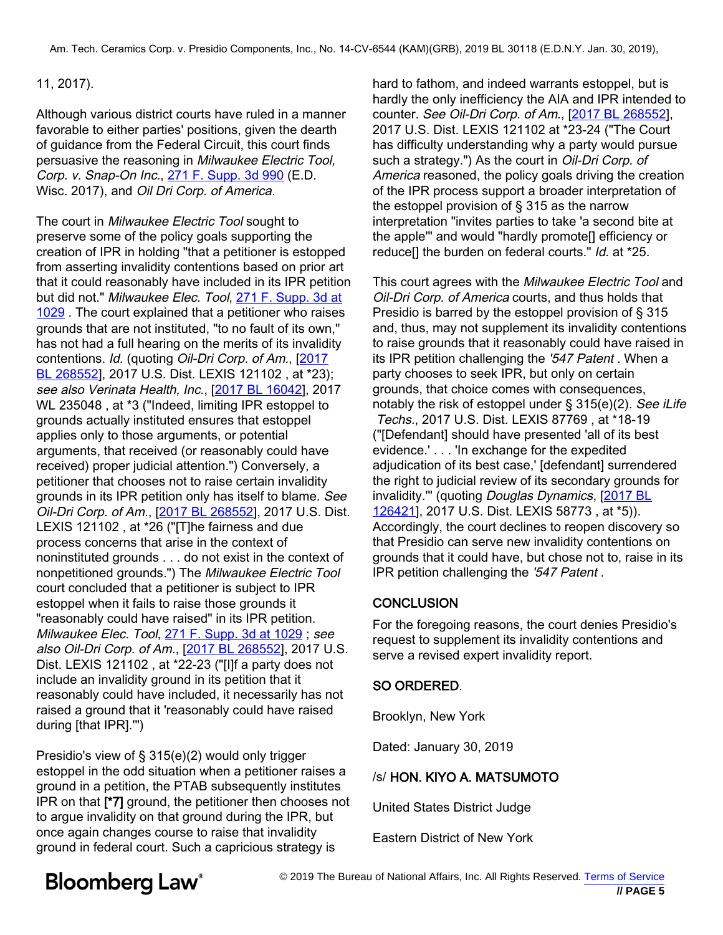#### 11, 2017).

Although various district courts ha[ve ruled in a mann](https://www.bloomberglaw.com/product/blaw/document/X13IM4MM0000N?jcsearch=2017 BL 268552&summary=yes#jcite)er favorable to either parties' positions, given the dearth of guidance from the Federal Circuit, this court finds persuasive the reasoning in Milwaukee Electric Tool, Corp. v. Snap-On Inc., [271 F. Supp. 3d 990](https://www.bloomberglaw.com/product/blaw/document/X137AR0K0000N?jcsearch=271 F. Supp. 3d 990&summary=yes#jcite) (E.D. Wisc. 2017), and Oil Dri Corp. of America.

The court in Milwaukee Electric Tool sought to preserve some of the policy goals supporting the creation of IPR in holding "that a petitioner is estopped from asserting invalidity contentions based on prior art that it could reasonably have included in its IPR petition but did not." Milwaukee Elec. Tool, [271 F. Supp. 3d at](https://www.bloomberglaw.com/product/blaw/document/X137AR0K0000N?jcsearch=271 F. Supp. 3d at 1029&summary=yes#jcite) [1029](https://www.bloomberglaw.com/product/blaw/document/X137AR0K0000N?jcsearch=271 F. Supp. 3d at 1029&summary=yes#jcite) . The court explained that a petitioner who raises grounds that are not instituted, "to no fault of its own," has not had a full hearing on the merits of its invalidity contentions. Id. (quoting Oil-Dri Corp. of Am., [\[2017](https://www.bloomberglaw.com/product/blaw/document/X13IM4MM0000N?jcsearch=2017 BL 268552&summary=yes#jcite)] [BL 268552](https://www.bloomberglaw.com/product/blaw/document/X13IM4MM0000N?jcsearch=2017 BL 268552&summary=yes#jcite)], 2017 U.S. Dist. LEXIS 121102, at \*23); see also Verinata Health, Inc., [[2017 BL 16042](https://www.bloomberglaw.com/product/blaw/document/X1MB5SBC0000N?jcsearch=2017 BL 16042&summary=yes#jcite)], 2017 WL 235048 , at \*3 ("Indeed, limiting IPR estoppel to grounds actually instituted ensures that estoppel applies only to those arguments, or potential arguments, that received (or reasonably could have received) proper judicial attention.") Conversely, a petitioner that chooses not to raise certain invalidity grounds in its IPR petition only has itself [to blame](https://www.bloomberglaw.com/product/blaw/document/XG7VMMEG000N?jcsearch=2017 BL 126421&summary=yes#jcite). See [Oil-Dri](https://www.bloomberglaw.com/product/blaw/document/XG7VMMEG000N?jcsearch=2017 BL 126421&summary=yes#jcite) [C](https://www.bloomberglaw.com/product/blaw/document/XG7VMMEG000N?jcsearch=2017 BL 126421&summary=yes#jcite)orp. of Am., [\[2017 BL 268552](https://www.bloomberglaw.com/product/blaw/document/X13IM4MM0000N?jcsearch=2017 BL 268552&summary=yes#jcite)], 2017 U.S. Dist. LEXIS 121102 , at \*26 ("[T]he fairness and due process concerns that arise in the context of noninstituted grounds . . . do not exist in the context of nonpetitioned grounds.") The Milwaukee Electric Tool court concluded that a petitioner is subject to IPR estoppel when it fails to raise those grounds it "reasonably could have raised" in its IPR petition. Milwaukee Elec. Tool, [271 F. Supp. 3d at 1029](https://www.bloomberglaw.com/product/blaw/document/X137AR0K0000N?jcsearch=271 F. Supp. 3d at 1029&summary=yes#jcite); see also Oil-Dri Corp. of Am., [\[2017 BL 268552](https://www.bloomberglaw.com/product/blaw/document/X13IM4MM0000N?jcsearch=2017 BL 268552&summary=yes#jcite)], 2017 U.S. Dist. LEXIS 121102 , at \*22-23 ("[I]f a party does not include an invalidity ground in its petition that it reasonably could have included, it necessarily has not raised a ground that it 'reasonably could have raised during [that IPR].'")

Presidio's view of § 315(e)(2) would only trigger estoppel in the odd situation when a petitioner raises a ground in a petition, the PTAB subsequently institutes IPR on that [\*7] ground, the petitioner then chooses not to argue invalidity on that ground during the IPR, but once again changes course to raise that invalidity ground in federal court. Such a capricious strategy is

hard to fathom, and indeed warrants estoppel, but is hardly the only inefficiency the AIA and IPR intended to counter. See Oil-Dri Corp. of Am., [2017 BL 268552], 2017 U.S. Dist. LEXIS 121102 at \*23-24 ("The Court has difficulty understanding why a party would pursue such a strategy.") As the court in Oil-Dri Corp. of America reasoned, the policy goals driving the creation of the IPR process support a broader interpretation of the estoppel provision of § 315 as the narrow interpretation "invites parties to take 'a second bite at the apple'" and would "hardly promote[] efficiency or reduce<sup>[]</sup> the burden on federal courts." *Id.* at \*25.

This court agrees with the Milwaukee Electric Tool and Oil-Dri Corp. of America courts, and thus holds that Presidio is barred by the estoppel provision of § 315 and, thus, may not supplement its invalidity contentions to raise grounds that it reasonably could have raised in its IPR petition challenging the '547 Patent . When a party chooses to seek IPR, but only on certain grounds, that choice comes with consequences, notably the risk of estoppel under § 315(e)(2). See iLife Techs., 2017 U.S. Dist. LEXIS 87769 , at \*18-19 ("[Defendant] should have presented 'all of its best evidence.' . . . 'In exchange for the expedited adjudication of its best case,' [defendant] surrendered the right to judicial review of its secondary grounds for invalidity." (quoting Douglas Dynamics, [2017 BL] 126421], 2017 U.S. Dist. LEXIS 58773 , at \*5)). Accordingly, the court declines to reopen discovery so that Presidio can serve new invalidity contentions on grounds that it could have, but chose not to, raise in its IPR petition challenging the '547 Patent .

#### **CONCLUSION**

For the foregoing reasons, the court denies Presidio's request to supplement its invalidity contentions and serve a revised expert invalidity report.

#### SO ORDERED.

Brooklyn, New York

Dated: January 30, 2019

#### /s/ HON. KIYO A. MATSUMOTO

United States District Judge

Eastern District of New York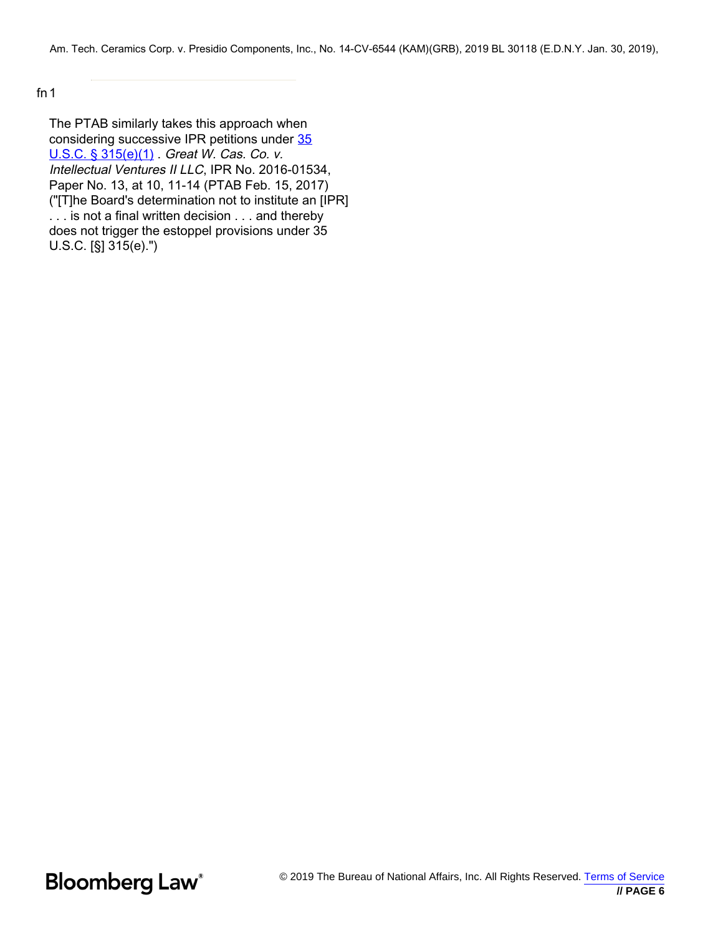fn1

The PTAB similarly takes this approach when considering successive IPR petitions under [35](https://www.bloomberglaw.com/product/blaw/document/XO7BVU003?jcsearch=35 U.S.C. %26sect; 315(e)(1)&summary=yes#jcite) [U.S.C. § 315\(e\)\(1\)](https://www.bloomberglaw.com/product/blaw/document/XO7BVU003?jcsearch=35 U.S.C. %26sect; 315(e)(1)&summary=yes#jcite) . Great W. Cas. Co. v. Intellectual Ventures II LLC, IPR No. 2016-01534, Paper No. 13, at 10, 11-14 (PTAB Feb. 15, 2017) ("[T]he Board's determination not to institute an [IPR] . . . is not a final written decision . . . and thereby does not trigger the estoppel provisions under 35 U.S.C. [§] 315(e).")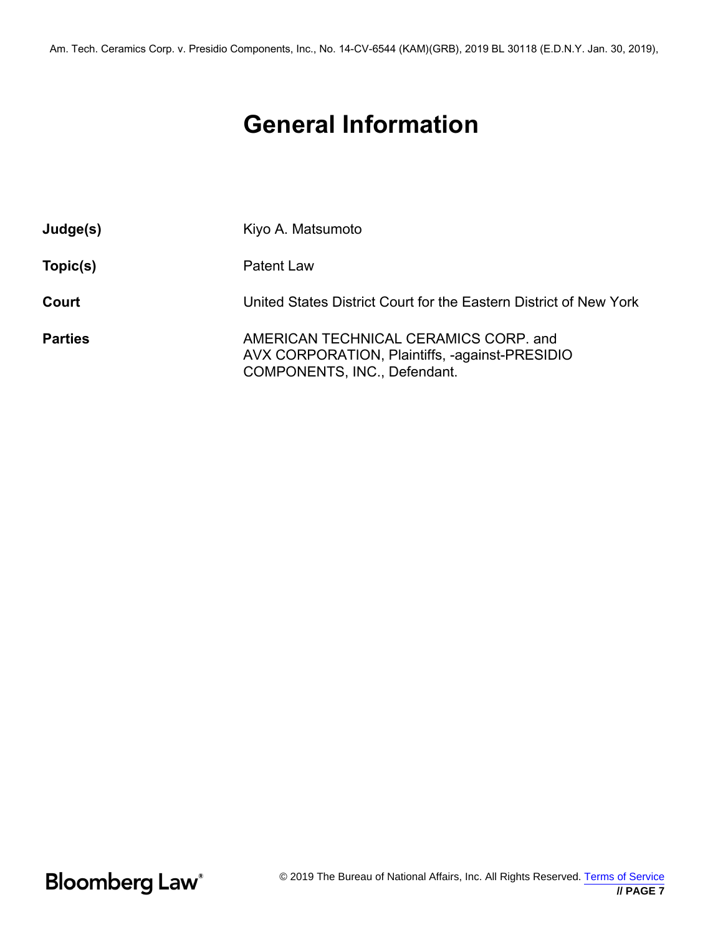# **General Information**

| Judge(s)       | Kiyo A. Matsumoto                                                                                                       |
|----------------|-------------------------------------------------------------------------------------------------------------------------|
| Topic(s)       | <b>Patent Law</b>                                                                                                       |
| Court          | United States District Court for the Eastern District of New York                                                       |
| <b>Parties</b> | AMERICAN TECHNICAL CERAMICS CORP. and<br>AVX CORPORATION, Plaintiffs, -against-PRESIDIO<br>COMPONENTS, INC., Defendant. |